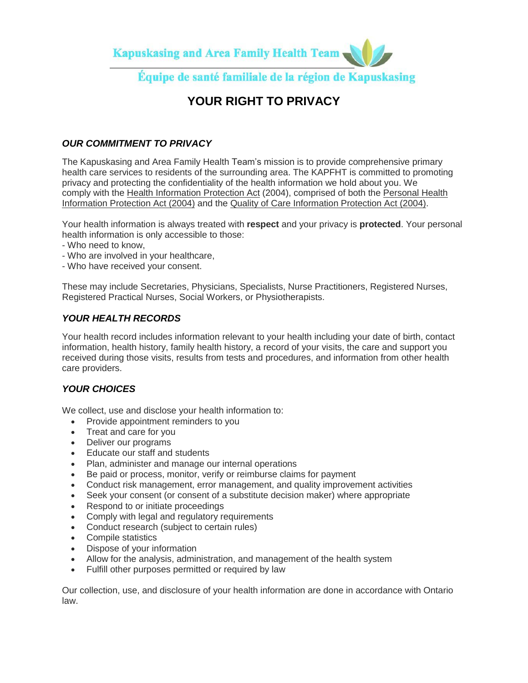

# **YOUR RIGHT TO PRIVACY**

## *OUR COMMITMENT TO PRIVACY*

The Kapuskasing and Area Family Health Team's mission is to provide comprehensive primary health care services to residents of the surrounding area. The KAPFHT is committed to promoting privacy and protecting the confidentiality of the health information we hold about you. We comply with the Health Information Protection Act (2004), comprised of both the Personal Health Information Protection Act (2004) and the Quality of Care Information Protection Act (2004).

Your health information is always treated with **respect** and your privacy is **protected**. Your personal health information is only accessible to those:

- Who need to know,
- Who are involved in your healthcare,
- Who have received your consent.

These may include Secretaries, Physicians, Specialists, Nurse Practitioners, Registered Nurses, Registered Practical Nurses, Social Workers, or Physiotherapists.

## *YOUR HEALTH RECORDS*

Your health record includes information relevant to your health including your date of birth, contact information, health history, family health history, a record of your visits, the care and support you received during those visits, results from tests and procedures, and information from other health care providers.

## *YOUR CHOICES*

We collect, use and disclose your health information to:

- Provide appointment reminders to you
- Treat and care for you
- Deliver our programs
- Educate our staff and students
- Plan, administer and manage our internal operations
- Be paid or process, monitor, verify or reimburse claims for payment
- Conduct risk management, error management, and quality improvement activities
- Seek your consent (or consent of a substitute decision maker) where appropriate
- Respond to or initiate proceedings
- Comply with legal and regulatory requirements
- Conduct research (subject to certain rules)
- Compile statistics
- Dispose of your information
- Allow for the analysis, administration, and management of the health system
- Fulfill other purposes permitted or required by law

Our collection, use, and disclosure of your health information are done in accordance with Ontario law.